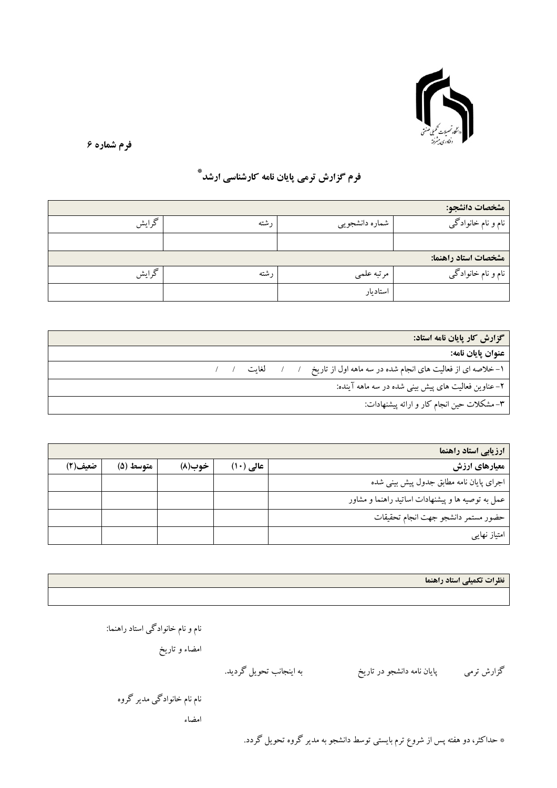

فرم شماره ۶

## فرم گزارش ترمی پایان نامه کارشناسی ارشد ٌ

| مشخصات دانشجو:       |                 |       |       |  |  |  |
|----------------------|-----------------|-------|-------|--|--|--|
| نام و نام خانوادگی   | شماره دانشجويبي | ۱ شته | گرايش |  |  |  |
|                      |                 |       |       |  |  |  |
| مشخصات استاد راهنما: |                 |       |       |  |  |  |
| نام و نام خانوادگی   | مرتبه علمى      | , شته | گرايش |  |  |  |
|                      | استاديار        |       |       |  |  |  |

| گزارش کار پایان نامه استاد:                                                  |
|------------------------------------------------------------------------------|
| عنوان يايان نامه:                                                            |
| ١-خلاصه اى از فعاليت هاى انجام شده در سه ماهه اول از تاريخ ١ / / لغايت ١ / / |
| ۲– عناوین فعالیت های پیش بینی شده در سه ماهه آینده:                          |
| ۳- مشکلات حین انجام کار و ارائه پیشنهادات:                                   |

| ارزيابي استاد راهنما                              |           |        |           |         |  |  |
|---------------------------------------------------|-----------|--------|-----------|---------|--|--|
| معیارهای ارزش                                     | عالی (۱۰) | خوب(۸) | متوسط (۵) | ضعيف(٢) |  |  |
| اجرای پایان نامه مطابق جدول پیش بینی شده          |           |        |           |         |  |  |
| عمل به توصیه ها و پیشنهادات اساتید راهنما و مشاور |           |        |           |         |  |  |
| حضور مستمر دانشجو جهت انجام تحقيقات               |           |        |           |         |  |  |
| امتیاز نهایی                                      |           |        |           |         |  |  |

نظرات تکمیلی استاد راهنما

نام و نام خانوادگی استاد راهنما:

امضاء و تاریخ

پایان نامه دانشجو در تاریخ گزارش ترمی

به اينجانب تحويل گرديد.

نام نام خانوادگی مدیر گروه

امضاء

\* حداکثر، دو هفته پس از شروع ترم بایستی توسط دانشجو به مدیر گروه تحویل گردد.